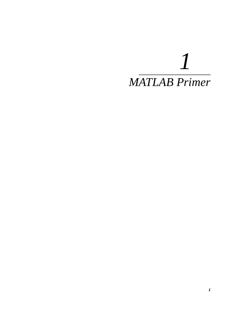# *MATLAB Primer*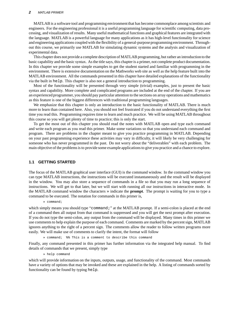#### **2** MATLAB PRIMER

MATLAB is a software tool and programming environment that has become commonplace among scientists and engineers. For the engineering professional it is a useful programming language for scientific computing, data processing, and visualization of results. Many useful mathematical functions and graphical features are integrated with the language. MATLAB is a powerful language for many applications as it has high-level functionality for science and engineering applications coupled with the flexibility of a general-purpose programming environment. Throughout this course, we primarily use MATLAB for simulating dynamic systems and the analysis and visualization of experimental data.

This chapter does not provide a complete description of MATLAB programming, but rather an introduction to the basic capability and the basic syntax. As the title says, this chapter is a primer, not complete product documentation. In this chapter we provide some simple examples to get the student started and familiar with programming in the environment. There is extensive documentation on the Mathworks web site as well as the help feature built into the MATLAB environment. All the commands presented in this chapter have detailed explanations of the functionality via the built in help. This chapter is also not a general introduction to programming.

Most of the functionality will be presented through very simple (trivial) examples, just to present the basic syntax and capability. More complete and complicated programs are included at the end of the chapter. If you are an experienced programmer, you should pay particular attention to the sections on array operations and mathematics as this feature is one of the biggest differences with traditional programming languages.

We emphasize that this chapter is only an introduction to the basic functionality of MATLAB. There is much more to learn than contained here. Also, you should not feel frustrated if you do not understand everything the first time you read this. Programming requires time to learn and much practice. We will be using MATLAB throughout this course so you will get plenty of time to practice; this is only the start.

To get the most out of this chapter you should read the notes with MATLAB open and type each command and write each program as you read this primer. Make some variations so that you understand each command and program. There are problems in the chapter meant to give you practice programming in MATLAB. Depending on your past programming experience these activities may vary in difficulty, it will likely be very challenging for someone who has never programmed in the past. Do not worry about the "deliverables" with each problem. The main objective of the problemsis to provide some example applicationsto give you practice and a chance to explore.

#### **1.1 GETTING STARTED**

The focus of the MATLAB graphical user interface (GUI) is the command window. In the command window you can type MATLAB instructions, the instructions will be executed instantaneously and the result will be displayed in the window. You may also store a sequence of commands in a file so that you may run a long sequence of instructions. We will get to that later, but we will start with running all our instructions in interactive mode. In the MATLAB command window the characters » indicate the **prompt**. The prompt is waiting for you to type a command to be executed. The notation for commands in this primer is,

» command;

which simply means you should type "command;" at the MATLAB prompt. If a semi-colon is placed at the end of a command then all output from that command is suppressed and you will get the next prompt after execution. If you do not type the semi-colon, any output from the command will be displayed. Many times in this primer we use comments to help explain the purpose of each command. Comments are marked by the percent sign, MATLAB ignores anything to the right of a percent sign. The comments allow the reader to follow written programs more easily. We will make use of comments to clarify the intent, the format will follow

» command; %% This is a comment to describe this command

Finally, any command presented in this primer has further information via the integrated help manual. To find details of commands that we present, simply type

» help command

which will provide information on the inputs, outputs, usage, and functionality of the command. Most commands have a variety of options that may be invoked and these are explained in the help. A listing of commands sorted by functionality can be found by typing help.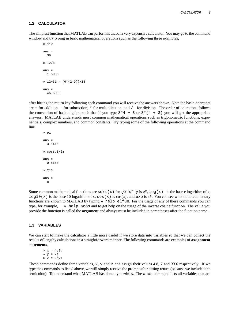#### **1.2 CALCULATOR**

The simplest function that MATLAB can performis that of a very expensive calculator. You may go to the command window and try typing in basic mathematical operations such as the following three examples,

```
» 4*9
ans =
  36
» 12/8
ans =
 1.5000
\sqrt{2+31} - (9*(2-9))/18ans =46.5000
```
after hitting the return key following each command you will receive the answers shown. Note the basic operators are  $+$  for addition,  $-$  for subtraction,  $*$  for multiplication, and  $/$  for division. The order of operations follows the convention of basic algebra such that if you type  $8*4 + 3$  or  $8*(4 + 3)$  you will get the appropriate answers. MATLAB understands most common mathematical operations such as trigonometric functions, exponentials, complex numbers, and common constants. Try typing some of the following operations at the command line.

```
» pi
ans =
 3.1416
» cos(pi/6)
ans =
  0.8660
» 2ˆ3
ans =
  8
```
Some common mathematical functions are sqrt(x) for  $\sqrt{x}$ ,  $x^{\frown}$  y is  $x^y$ ,  $\log(x)$  is the base e logarithm of x,  $log10(x)$  is the base 10 logarithm of x,  $cos(x)$  is  $cos(x)$ , and  $exp$  is  $e<sup>x</sup>$ . You can see what other elementary functions are known to MATLAB by typing » help elfun. For the usage of any of these commands you can type, for example, » help acos and to get help on the usage of the inverse cosine function. The value you provide the function is called the **argument** and always must be included in parentheses after the function name.

## **1.3 VARIABLES**

We can start to make the calculator a little more useful if we store data into variables so that we can collect the results of lengthy calculations in a straightforward manner. The following commands are examples of **assignment statements**.

 $x = 4.8;$ » y = 7;  $\ast$  z =  $x \ast y$ ;

These commands define three variables, x, y and z and assign their values 4.8, 7 and 33.6 respectively. If we type the commands as listed above, we will simply receive the prompt after hitting return (because we included the semicolon). To understand what MATLAB has done, type whos. The whos command lists all variables that are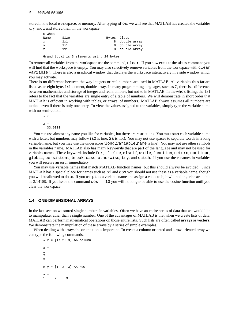stored in the local **workspace**, or memory. After typing whos, we will see that MATLAB has created the variables x, y, and z and stored them in the workspace.

| » whos |     |      |                                          |  |             |                |  |
|--------|-----|------|------------------------------------------|--|-------------|----------------|--|
| Name   |     | Size |                                          |  | Bytes Class |                |  |
| X      | 1x1 |      |                                          |  |             | 8 double array |  |
| У      | 1x1 |      |                                          |  |             | 8 double array |  |
| Z      | 1x1 |      |                                          |  |             | 8 double array |  |
|        |     |      |                                          |  |             |                |  |
|        |     |      | Grand total is 3 elements using 24 bytes |  |             |                |  |

To remove all variables from the workspace use the command, clear. If you now execute the whos command you will find that the workspace is empty. You may also selectively remove variables from the workspace with clear variable;. There is also a graphical window that displays the workspace interactively in a side window which you may activate.

There is no difference between the way integers or real numbers are used in MATLAB. All variables thus far are listed as an eight byte, 1x1 element, double array. In many programming languages, such as C, there is a difference between mathematics and storage of integer and real numbers, but not so in MATLAB. In the whos listing, the 1x1 refers to the fact that the variables are single entry of a table of numbers. We will demonstrate in short order that MATLAB is efficient in working with tables, or arrays, of numbers. MATLAB always assumes all numbers are tables - even if there is only one entry. To view the values assigned to the variables, simply type the variable name with no semi-colon.

» z  $z =$ 33.6000

You can use almost any name you like for variables, but there are restrictions. You must start each variable name with a letter, but numbers may follow (a2 is fine, 2a is not). You may not use spaces to separate words in a long variable name, but you may use the underscore (long\_variable\_name is fine). You may not use other symbols in the variables name. MATLAB also has many **keywords** that are part of the language and may not be used for variables names. These keywords include for, if, else, elseif, while, function, return, continue, global, persistent, break, case, otherwise, try, and catch. If you use these names in variables you will receive an error immediately.

You may use variable names that match MATLAB function names, but this should always be avoided. Since MATLAB has a special place for names such as pi and cos you should not use these as a variable name, though you will be allowed to do so. If you use pi as a variable name and assign a value to it, it will no longer be available as 3.14159. If you issue the command  $\cos = 10$  you will no longer be able to use the cosine function until you clear the workspace.

## **1.4 ONE-DIMENSIONAL ARRAYS**

In the last section we stored single numbers in variables. Often we have an entire series of data that we would like to manipulate rather than a single number. One of the advantages of MATLAB is that when we create lists of data, MATLAB can perform mathematical operations on those entire lists. Such lists are often called **arrays** or **vectors**. We demonstrate the manipulation of these arrays by a series of simple examples.

When dealing with arrays the orientation is important. To create a column oriented and a row oriented array we can type the following commands.

 $* x = [1; 2; 3]$  %% column  $x =$ 1  $\mathfrak{2}$ 3 » y = [1 2 3] %% row  $y =$ 1 2 3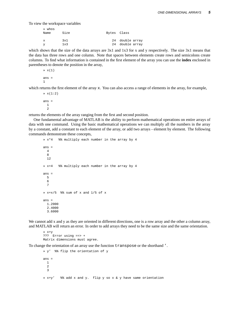To view the workspace variables

| » whos |      |             |                 |
|--------|------|-------------|-----------------|
| Name   | Size | Bytes Class |                 |
|        |      |             |                 |
| X.     | 3x1  |             | 24 double array |
| ▽      | 1x3  |             | 24 double array |

which shows that the size of the data arrays are  $3x1$  and  $1x3$  for x and y respectively. The size  $3x1$  means that the data has three rows and one column. Note that spaces between elements create rows and semicolons create columns. To find what information is contained in the first element of the array you can use the **index** enclosed in parentheses to denote the position in the array,

```
» x(1)
ans =
1
```
which returns the first element of the array x. You can also access a range of elements in the array, for example,

 $* x(1:2)$ ans = 1  $\Omega$ 

returns the elements of the array ranging from the first and second position.

One fundamental advantage of MATLAB is the ability to perform mathematical operations on entire arrays of data with one command. Using the basic mathematical operations we can multiply all the numbers in the array by a constant, add a constant to each element of the array, or add two arrays - element by element. The following commands demonstrate these concepts,

```
» x*4 %% multiply each number in the array by 4
ans =
 4
 8
 12
» x+4 %% multiply each number in the array by 4
ans =
 5
 6
  7
» x+x/5 %% sum of x and 1/5 of x
ans =
 1.2000
 2.4000
 3.6000
```
We cannot add x and y as they are oriented in different directions, one is a row array and the other a column array, and MATLAB will return an error. In order to add arrays they need to be the same size and the same orientation.

» x+y ??? Error using ==> + Matrix dimensions must agree.

To change the orientation of an array use the function transpose or the shorthand '.

```
» y' %% flip the orientation of y
ans =
 1
 2
  3
» x+y' %% add x and y. flip y so x & y have same orientation
```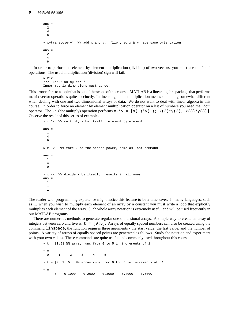```
ans =
 2
  4
  6
» x+transpose(y) %% add x and y. flip y so x & y have same orientation
ans =
 2
  4
  6
```
In order to perform an element by element multiplication (division) of two vectors, you must use the "dot" operations. The usual multiplication (division) sign will fail.

```
» x*x
??? Error using ==> *
Inner matrix dimensions must agree.
```
This error refers to a topic that is out of the scope of this course. MATLAB is a linear algebra package that performs matrix vector operations quite succinctly. In linear algebra, a multiplication means something somewhat different when dealing with one and two-dimensional arrays of data. We do not want to deal with linear algebra in this course. In order to force an element by element multiplication operator on a list of numbers you need the "dot" operator. The .\* (dot multiply) operation performs  $x \cdot xy = [x(1) * y(1); x(2) * y(2); x(3) * y(3)].$ Observe the result of this series of examples.

```
» x.*x %% multiply x by itself, element by element
ans =
 1
  4
  9
» x.ˆ2 %% take x to the second power, same as last command
ans =
 1
  4
 9
» x./x %% divide x by itself, results in all ones
ans =
 1
 1
 1
```
The reader with programming experience might notice this feature to be a time saver. In many languages, such as C, when you wish to multiply each element of an array by a constant you must write a loop that explicitly multiplies each element of the array. Such whole array notation is extremely useful and will be used frequently in our MATLAB programs.

There are numerous methods to generate regular one-dimensional arrays. A simple way to create an array of integers between zero and five is,  $t = [0:5]$ . Arrays of equally spaced numbers can also be created using the command linspace, the function requires three arguments - the start value, the last value, and the number of points. A variety of arrays of equally spaced points are generated as follows. Study the notation and experiment with your own values. These commands are quite useful and commonly used throughout this course.

```
» t = [0:5] %% array runs from 0 to 5 in increments of 1
t =0 1 2 3 4 5
* t = [0:1:5] % array runs from 0 to .5 in increments of .1
t =0 0.1000 0.2000 0.3000 0.4000 0.5000
```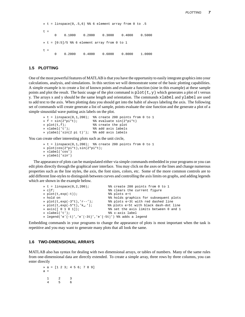$*$  t = linspace(0,.5,6) %% 6 element array from 0 to .5  $t =$ 0 0.1000 0.2000 0.3000 0.4000 0.5000  $*$  t =  $[0:5]/5$  %% 6 element array from 0 to 1  $t =$ 0 0.2000 0.4000 0.6000 0.8000 1.0000

## **1.5 PLOTTING**

One of the most powerful features of MATLAB is that you have the opportunity to easily integrate graphics into your calculations, analysis, and simulations. In this section we will demonstrate some of the basic plotting capabilities. A simple example is to create a list of known points and evaluate a function (sine in this example) at these sample points and plot the result. The basic usage of the plot command is  $p$ lot(t,y) which generates a plot of t versus y. The arrays x and y should be the same length and orientation. The commands xlabel and ylabel are used to add text to the axis. When plotting data you should get into the habit of always labeling the axis. The following set of commands will create generate a list of sample, points evaluate the sine function and the generate a plot of a simple sinusoidal wave putting axis labels on the plot.

```
* t = linspace(0,1,200); * create 200 points from 0 to 1
\frac{1}{2} \frac{1}{2} f = sin(2*pi*t);<br>
\frac{1}{2} \frac{1}{2} \frac{1}{2} \frac{1}{2} \frac{1}{2} \frac{1}{2} \frac{1}{2} \frac{1}{2} \frac{1}{2} \frac{1}{2} \frac{1}{2} \frac{1}{2} \frac{1}{2} \frac{1}{2} \frac{1}{2} \frac{1}{2} \frac{1}{2} \frac{1}{2} \frac%% create the plot
» xlabel('t'); %% add axis labels
» ylabel('sin(2 pi t)'); %% add axis labels
```
You can create other interesting plots such as the unit circle,

```
* t = linspace(0,1,200); * create 200 points from 0 to 1
» plot(cos(2*pi*t),sin(2*pi*t);
» xlabel('cos')
» ylabel('sin')
```
The appearance of plots can be manipulated either via simple commands embedded in your programs or you can edit plots directly through the graphical user interface. You may click on the axes or the lines and change numerous properties such as the line styles, the axis, the font sizes, colors, etc. Some of the more common controls are to add different line-styles to distinguish between curves and controlling the axis limits on graphs, and adding legends which are shown in the example below.

```
» t = linspace(0,2,200); %% create 200 points from 0 to 1
» clf; %% clears the current figure
» plot(t,exp(-t)); %% plots eˆ-t
                                      %% holds graphics for subsequent plots
% plot(t,exp(-3*t),'r--'); %% plots e<sup>2</sup>3t with red dashed line<br>% plot(t,exp(-5*t),'k_.'); %% plots e<sup>25</sup>t with black dash-dot l
» plot(t,exp(-5*t),'k..'); %% plots e^5t with black dash-dot line<br>* axis([0101]); %% set the axis limits between 0 and 1
                                      %% set the axis limits between 0 and 1
» xlabel('t'); %% x-axis label
» legend('e^{-t}','e^{-3t}','e^{-5t}') %% adds a legend
```
Embedding commands in your programs to change the appearance of plots is most important when the task is repetitive and you may want to generate many plots that all look the same.

#### **1.6 TWO-DIMENSIONAL ARRAYS**

MATLAB also has syntax for dealing with two dimensional arrays, or tables of numbers. Many of the same rules from one-dimensional data are directly extended. To create a simple array, three rows by three columns, you can enter directly

» a = [1 2 3; 4 5 6; 7 8 9]  $a =$ 1 2 3 4 5 6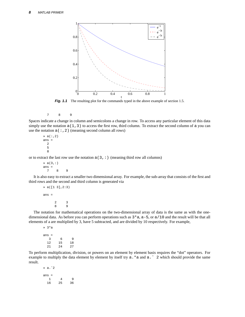

**Fig. 1.1** The resulting plot for the commands typed in the above example of section 1.5.

7 8 9

Spaces indicate a change in column and semicolons a change in row. To access any particular element of this data simply use the notation  $a(1,3)$  to access the first row, third column. To extract the second column of a you can use the notation  $a$  (:,2) (meaning second column all rows)

 $\ast$  a(:,2) ans = 2 5 8

or to extract the last row use the notation  $a(3,:)$  (meaning third row all columns)

 $\ast$  a(3, :) ans = 7 8 9

It is also easy to extract a smaller two dimensional array. For example, the sub-array that consists of the first and third rows and the second and third column is generated via

```
» a([1 3],2:3)
ans =
                 \begin{array}{ccc} 2 & & 3 \\ 8 & & 9 \end{array}<sup>9</sup>
```
The notation for mathematical operations on the two-dimensional array of data is the same as with the onedimensional data. As before you can perform operations such as  $3 \times a$ ,  $a - 5$ , or  $a/10$  and the result will be that all elements of a are multiplied by 3, have 5 subtracted, and are divided by 10 respectively. For example,

```
» 3*a
ans =
        3 6 9
    \begin{array}{ccc} 12 & \quad 15 & \quad 18 \\ 21 & \quad 24 & \quad 27 \end{array}24
```
To perform multiplication, division, or powers on an element by element basis requires the "dot" operators. For example to multiply the data element by element by itself try  $a.*a$  and  $a.^{\hat{}}\,$  2 which should provide the same result.

» a.ˆ2 ans  $=$   $\frac{1}{1}$ 1 4 9 16 25 36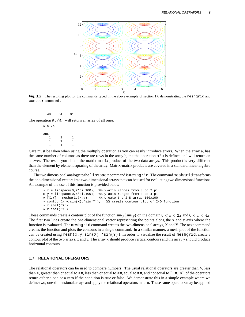

**Fig. 1.2** The resulting plot for the commands typed in the above example of section 1.6 demonstrating the meshgrid and contour commands.

49 64 81

The operation  $a$ . /a will return an array of all ones.

» a./a ans = 1 1 1 1 1 1 1 1 1

Care must be taken when using the multiply operation as you can easily introduce errors. When the array a, has the same number of columns as there are rows in the array b, the the operation  $a * b$  is defined and will return an answer. The result you obtain the matrix-matrix product of the two data arrays. This product is very different than the element by element squaring of the array. Matrix-matrix products are covered in a standard linear algebra course.

The two dimensional analogy to the linspace command is meshgrid. The command meshgrid transforms the one-dimensional vectors into two-dimensional arrays that can be used for evaluating two dimensional functions An example of the use of this function is provided below

```
* x = \text{linspace}(0, 2*pi, 100); * x = \text{minspace}(0, 2*pi, 100)\begin{array}{rcl}\n\mathbf{y} & = & \text{linspace}(0,4*\text{pi},100); \\
\mathbf{y} & = & \text{minspace}(\mathbf{y},\mathbf{y}) \\
\mathbf{y} & = & \text{minarray} \ 100 \times 100\n\end{array}%% create the 2-D array 100x100
» contour(x, y, \sin(X).*\sin(Y)); %% create contour plot of 2-D function
» xlabel('X')
» xlabel('Y')
```
These commands create a contour plot of the function  $sin(x)sin(y)$  on the domain  $0 < x < 2\pi$  and  $0 < x < 4\pi$ . The first two lines create the one-dimensional vector representing the points along the x and y axis where the function is evaluated. The meshgrid command creates the two-dimensional arrays, X and Y. The next command creates the function and plots the contours in a single command. In a similar manner, a mesh plot of the function can be created using mesh(x,y,sin(X).  $\star$ sin(Y)). In order to visualize the result of meshgrid, create a contour plot of the two arrays, x and y. The array x should produce vertical contours and the array y should produce horizontal contours.

## **1.7 RELATIONAL OPERATORS**

The relational operators can be used to compare numbers. The usual relational operators are greater than >, less than <, greater than or equal to > =, less than or equal to > =, equal to = =, and not equal to  $\sim$  =. All of the operators return either a one or a zero if the condition is true or false. We demonstrate this in a simple example where we define two, one-dimensional arrays and apply the relational operators in turn. These same operators may be applied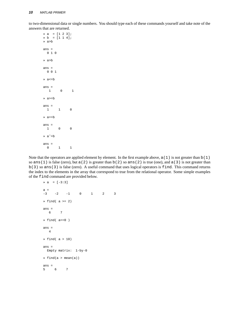to two-dimensional data or single numbers. You should type each of these commands yourself and take note of the answers that are returned.

» a = [1 2 3]; » b = [1 1 4]; » a>b ans = 0 1 0 » a>b ans = 0 0 1 » a<=b ans = 1 0 1 » a>=b ans =  $\begin{matrix} 1 \end{matrix} \qquad \begin{matrix} 1 \end{matrix} \qquad \begin{matrix} 0 \end{matrix}$ » a==b ans = 1 0 0 » a˜=b ans =  $\begin{matrix} 0 && 1 && 1 \end{matrix}$ 

Note that the operators are applied element by element. In the first example above,  $a(1)$  is not greater than  $b(1)$ so ans(1) is false (zero), but  $a(2)$  is greater than b(2) so ans(2) is true (one), and  $a(3)$  is not greater than b(3) so ans(3) is false (zero). A useful command that uses logical operators is find. This command returns the index to the elements in the array that correspond to true from the relational operator. Some simple examples of the find command are provided below.

```
\ast a = [-3:3]
a =
-3 -2 -1 0 1 2 3
» find( a >= 2)
ans =
  6 7
» find( a==0 )
ans =
  4
» find( a > 10)
ans =
 Empty matrix: 1-by-0
\ast find(a > mean(a))
ans =
5 6 7
```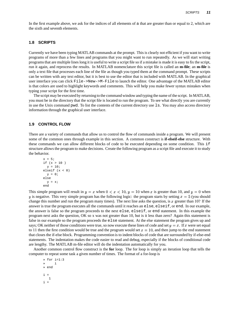In the first example above, we ask for the indices of all elements of a that are greater than or equal to 2, which are the sixth and seventh elements.

## **1.8 SCRIPTS**

Currently we have been typing MATLAB commands at the prompt. This is clearly not efficient if you want to write programs of more than a few lines and programs that you might want to run repeatedly. As we will start writing programsthat are multiple lines long it is useful to write a script file so if a mistake is made it is easy to fix the script, run it again, and reprocess the results. In MATLAB nomenclature this script file is called an **m-file**; an **m-file** is only a text file that processes each line of the file as though you typed them at the command prompt. These scripts can be written with any text editor, but it is best to use the editor that is included with MATLAB. In the graphical user interface you can click File->New->M-File to launch the editor. One advantage of the MATLAB editor is that colors are used to highlight keywords and comments. This will help you make fewer syntax mistakes when typing your script for the first time.

The script may be executed by returning to the command window and typing the name of the script. In MATLAB, you must be in the directory that the script file is located to run the program. To see what directly you are currently in use the Unix command pwd. To list the contents of the current directory use ls. You may also access directory information through the graphical user interface.

#### **1.9 CONTROL FLOW**

There are a variety of commands that allow us to control the flow of commands inside a program. We will present some of the common ones through example in this section. A common construct is **if-elseif-else** structure. With these commands we can allow different blocks of code to be executed depending on some condition. This if structure allows the program to make decisions. Create the following program as a script file and execute it to study the behavior.

```
x = 5;if (x > 10 )
 y = 10 ;
elseif (x < 0)
 y = 0;
else
 y = x;end
```
This simple program will result in  $y = x$  when  $0 < x < 10$ ,  $y = 10$  when x is greater than 10, and  $y = 0$  when y is negative. This very simple program has the following logic: the program starts by setting  $x = 5$  (you should change this number and run the program many times). The next line asks the question, is  $x$  greater than 10? If the answer is true the program executes all the commands until it reaches an else, elseif, or end. In our example, the answer is false so the program proceeds to the next else, elseif, or end statement. In this example the program next asks the question, OK so x was not greater than 10, but is it less than zero? Again this statement is false in our example so the program proceeds the else statement. At the else statement the program gives up and says; OK neither of those conditions were true, so now execute these lines of code and set  $y = x$ . If x were set equal to 11 then the first condition would be true and the program would set  $x = 10$ , and then jump to the end statement that closes the if-else block. Programming convention is to indent blocks of code that are surrounded by if-else-end statements. The indentation makes the code easier to read and debug, especially if the blocks of conditional code are lengthy. The MATLAB m-file editor will do the indentation automatically for you.

Another common control flow construct is the **for** loop. The for loop is simply an iteration loop that tells the computer to repeat some task a given number of times. The format of a for-loop is

» for i=1:3 » i » end  $i =$ 1  $i =$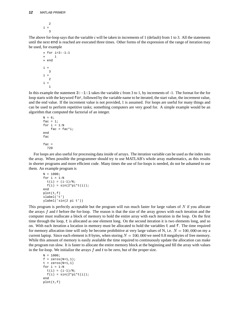2  $i =$ 3

The above for-loop says that the variable  $i$  will be taken in increments of 1 (default) from 1 to 3. All the statements until the next end is reached are executed three times. Other forms of the expression of the range of iteration may be used, for example

```
» for i=3:-1:1
» i
» end
i =
   3
i =\overline{2}i =1
```
In this example the statement  $3:-1:1$  takes the variable i from 3 to 1, by increments of -1. The format for the for loop starts with the keyword for, followed by the variable name to be iterated, the start value, the increment value, and the end value. If the increment value is not provided, 1 is assumed. For loops are useful for many things and can be used to perform repetitive tasks; something computers are very good for. A simple example would be an algorithm that computed the factorial of an integer.

```
N = 6;fac = 1;
for i = 1:Nfac = fac*<i>i</i>;end
fac
fac =720
```
For loops are also useful for processing data inside of arrays. The iteration variable can be used as the index into the array. When possible the programmer should try to use MATLAB's whole array mathematics, as this results in shorter programs and more efficient code. Many times the use of for-loops is needed, do not be ashamed to use them. An example program is

```
N = 1000;for i = 1:Nt(i) = (i-1)/N;f(i) = sin(2*pi*t(i));end
plot(t,f)
xlabel('t')
ylabel('sin(2 pi t'))
```
This program is perfectly acceptable but the program will run much faster for large values of  $N$  if you allocate the arrays  $f$  and  $t$  before the for-loop. The reason is that the size of the array grows with each iteration and the computer must reallocate a block of memory to hold the entire array with each iteration in the loop. On the first time through the loop, t is allocated as one element long. On the second iteration it is two elements long, and so on. With each iteration a location in memory must be allocated to hold the variables t and f. The time required for memory allocation time will only be become prohibitive at very large values of N, i.e.  $N = 100,000$  on my a current laptop. Since each element is 8 bytes, when storing  $N = 100,000$  we need 0.8 megabytes of free memory. While this amount of memory is easily available the time required to continuously update the allocation can make the program run slow. It is faster to allocate the entire memory block at the beginning and fill the array with values in the for-loop. We initialize the arrays  $f$  and  $t$  to be zero, but of the proper size.

```
N = 1000;f = zeros(N+1,1);t = zeros(N+1, 1)for i = 1:Nt(i) = (i-1)/N;
  f(i) = sin(2 * pi * t(i));end
plot(t,f)
```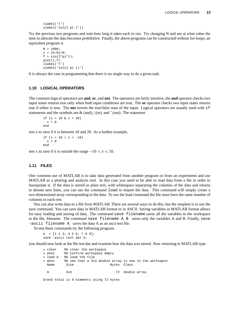```
xlabel('t')
ylabel('sin(2 pi t'))
```
Try the previous two programs and note how long it takes each to run. Try changing N and see at what value the time to allocate the data becomes prohibitive. Finally, the above programs can be constructed without for-loops; an equivalent program is

```
N = 1000;t = [0:N]/N;f = sin(2*pi*t);plot(t,f)
xlabel('t')
ylabel('sin(2 pi t)')
```
It is always the case in programming that there is no single way to do a given task.

## **1.10 LOGICAL OPERATORS**

The common logical operators are **and**, **or**, and **not**. The operators are fairly intuitive, the **and** operator checks two input states returns true only when both input conditions are true. The **or** operator checks two input states returns true if either is true. The **not** inverts the true/false state of the input. Logical operators are usually used with if statements and the symbols are  $\&$  (and),  $|$  (or), and  $\tilde{\ }$  (not). The statement

if  $(x > 10 \& x < 20)$  $x = 0$ end

sets x to zero if it is between 10 and 20. As a further example,

if  $(x > 10 \mid x < -10)$  $x = 0$ end

sets x to zero if it is outside the range  $-10 < x < 10$ .

## **1.11 FILES**

One common use of MATLAB is to take data generated from another program or from an experiment and use MATLAB as a plotting and analysis tool. In this case you need to be able to read data from a file in order to manipulate it. If the data is stored as plain text, with whitespace separating the columns of the data and returns to denote new lines, you can use the command load to import the data. This command will simply create a two-dimensional array corresponding to the data. To use the load command the file must have the same number of columns in each row.

You can also write data to a file from MATLAB. There are several ways to do this, but the simplest is to use the save command. You can save data in MATLAB format or in ASCII. Saving variables in MATLAB format allows for easy loading and storing of data. The command save filename saves all the variables in the workspace to the file, filename. The command save filename A B saves only the variables A and B. Finally, save -ascii filename A saves the data A as an ascii text file.

To test these commands try the following program.

```
A = [1 2 3; 4 5 6; 7 8 9];
save -ascii test.dat A;
```
you should now look at the file test.dat and examine how the data was stored. Now returning to MATLAB type

```
» clear %% clear the workspace
» whos %% confirm workspace empty
» load A %% load the file
» whos %% see that a 3x3 double array is now in the worksapce
 Name Size Bytes Class
 A 3x3 3x3 72 double array
Grand total is 9 elements using 72 bytes
```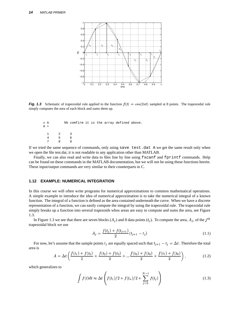

**Fig. 1.3** Schematic of trapezoidal rule applied to the function  $f(t) = sin(2\pi t)$  sampled at 8 points. The trapezoidal rule simply computes the area of each block and sums them up.

| » A          |                | %% comfirm it is the array defined above. |  |  |  |
|--------------|----------------|-------------------------------------------|--|--|--|
| A =          |                |                                           |  |  |  |
|              |                |                                           |  |  |  |
| $\mathbf{1}$ | $\overline{2}$ | ્ર                                        |  |  |  |
|              | 5              | 6                                         |  |  |  |
|              |                |                                           |  |  |  |

If we tried the same sequence of commands, only using save test.dat A we get the same result only when we open the file test.dat, it is not readable to any application other than MATLAB.

Finally, we can also read and write data to files line by line using fscanf and fprintf commands. Help can be found on these commands in the MATLAB documentation, but we will not be using these functions herein. These input/output commands are very similar to their counterparts in C.

#### **1.12 EXAMPLE: NUMERICAL INTEGRATION**

In this course we will often write programs for numerical approximations to common mathematical operations. A simple example to introduce the idea of numerical approximation is to take the numerical integral of a known function. The integral of a function is defined as the area contained underneath the curve. When we have a discrete representation of a function, we can easily compute the integral by using the trapezoidal rule. The trapezoidal rule simply breaks up a function into several trapezoids whos areas are easy to compute and sums the area, see Figure 1.3.

In Figure 1.3 we see that there are seven blocks  $(A_j)$  and 8 data points  $(t_j)$ . To compute the area,  $A_j$ , of the  $j<sup>th</sup>$ trapezoidal block we use

$$
A_j = \frac{f(t_j) + f(t_{j+1})}{2}(t_{j+1} - t_j)
$$
\n(1.1)

For now, let's assume that the sample points  $t_j$  are equally spaced such that  $t_{j+1} - t_j = \Delta t$ . Therefore the total area is

$$
A = \Delta t \left( \frac{f(t_1) + f(t_2)}{2} + \frac{f(t_2) + f(t_3)}{2} + \dots + \frac{f(t_6) + f(t_6)}{2} + \frac{f(t_7) + f(t_8)}{2} \right),\tag{1.2}
$$

which generalizes to

$$
\int f(t)dt \approx \Delta t \left( f(t_1)/2 + f(t_n)/2 + \sum_{j=2}^{N-1} f(t_j) \right)
$$
\n(1.3)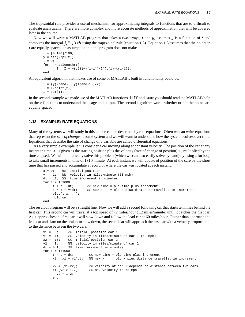The trapezoidal rule provides a useful mechanism for approximating integrals to functions that are to difficult to evaluate analytically. There are more complex and more accurate methods of approximation that will be covered later in the course.

Now we will write a MATLAB program that takes a two arrays,  $t$  and  $y$ , assumes  $y$  is a function of  $t$  and computes the integral  $\int_{t}^{t} y(t) dt$  using the trapezoidal rule (equation 1.3). Equation 1.3 assumes that the points in  $t$  are equally spaced, an assumption that the program does not make.

```
t = [0:100]/100;y = sin(2*pi*t);I = 0;for j = 2 \text{:length}(t)I = I + +(y(i)+y(i-1))/2*(t(i)-t(i-1));end
```
An equivalent algorithm that makes use of some of MATLAB's built in functionality could be,

```
I = (y(2:end) + y(1:end-1))/2;I = I.*diff(t);I = sum(I);
```
In the second example we made use of the MATLAB functions  $diff$  and sum; you should read the MATLAB help on these functions to understand the usage and output. The second algorithm works whether or not the points are equally spaced.

#### **1.13 EXAMPLE: RATE EQUATIONS**

Many of the systems we will study in this course can be described by rate equations. Often we can write equations that represent the *rate of change* of some system and we will want to understand how the system evolves over time. Equations that describe the rate of change of a variable are called differential equations.

As a very simple example let us consider a car moving along at constant velocity. The position of the car at any instant in time,  $x$ , is given as the starting position plus the velocity (rate of change of position),  $v$ , multiplied by the time elapsed. We will numerically solve this problem (which we can also easily solve by hand) by using a for loop to take small increments in time of  $1/10$  minute. At each instant we will update of position of the care by the short time that has passed and accumulate a record of where the car was located at each instant.

```
x = 0; \frac{1}{2} anitial position
v = 1; \frac{1}{2} velocity in miles/minute (60 mph)
dt = .1; % time increment in minutes
for i = 1:1000t = t + dt; \frac{1}{2} \frac{1}{2} \frac{1}{2} \frac{1}{2} \frac{1}{2} \frac{1}{2} \frac{1}{2} \frac{1}{2} \frac{1}{2} \frac{1}{2} \frac{1}{2} \frac{1}{2} \frac{1}{2} \frac{1}{2} \frac{1}{2} \frac{1}{2} \frac{1}{2} \frac{1}{2} \frac{1}{2} \frac{1}{2} \frac{1}{2} \x = x + v*dt; % new x = old x plus distance travelled in increment
        \texttt{plot}(\texttt{t},\texttt{x},\prime\,. \prime\,) ;
         hold on;
end
```
The result of program will be a straight line. Now we will add a second following car that starts ten miles behind the first car. This second car will travel at a top speed of 72 miles/hour (1.2 miles/minute) until it catches the first car. As it approaches the first car it will slow down and follow the lead car at 60 miles/hour. Rather than approach the lead car and slam on the brakes to slow down, the second car will approach the first car with a velocity proportional to the distance between the two cars.

```
x1 = 0; x3 = 1; x4 = 1; x5 = 2; x6 = 1; x7 = 1; x8 = 1; x9 = 1; x1 = 1; x2 = 1; x3 = 1; x4 = 1; x5 = 1; x6 = 1; x7 = 1; x8 = 1; x9 = 1; x1 = 1; x2 = 1; x3 = 1; x4 = 1; x5 = 1; x6 = 1; x7 = 1; x8 = %% velocity in miles/minute of car 1 (60 mph)
x2 = -10; x = 8 Initial position car 2
v2 = 0; v8 = 0 velocity in miles/minute of car 2<br>dt = 0.1; v8 = 0 time increment in minutes
                 %% time increment in minutes
for i = 1:1000t = t + dt; \frac{1}{3} are time = old time plus increment
      x1 = x1 + v1 * dt; % new x = old x plus distance travelled in increment
       v2 = (x1-x2); v8 velocity of car 2 depends on distance between two cars.
      if (v2 > 1.2) %% max velocity is 72 mph
        v2 = 1.2iend
```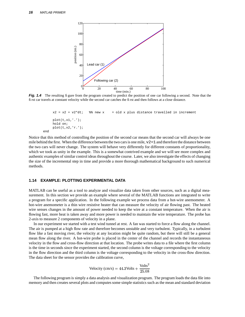

**Fig. 1.4** The resulting figure from the program created to predict the position of one car following a second. Note that the first car travels at constant velocity while the second car catches the first and then follows at a close distance.

```
x2 = x2 + v2 * dt; % new x = old x plus distance travelled in increment
    plot(t,x1,'.'');
    hold on;
    plot(t,x2,'r.');
end
```
Notice that this method of controlling the position of the second car means that the second car will always be one mile behind the first. When the difference between the two cars is one mile,  $v^2 = 1$  and therefore the distance between the two cars will never change. The system will behave very differently for different constants of proportionality, which we took as unity in the example. This is a somewhat contrived example and we will see more complex and authentic examples of similar control ideas throughout the course. Later, we also investigate the effects of changing the size of the incremental step in time and provide a more thorough mathematical background to such numerical methods.

## **1.14 EXAMPLE: PLOTTING EXPERIMENTAL DATA**

MATLAB can be useful as a tool to analyze and visualize data taken from other sources, such as a digital measurement. In this section we provide an example where several of the MATLAB functions are integrated to write a program for a specific application. In the following example we process data from a hot-wire anemometer. A hot-wire anemometer is a thin wire resistive heater that can measure the velocity of air flowing past. The heated wire senses changes in the amount of power needed to keep the wire at a constant temperature. When the air is flowing fast, more heat is taken away and more power is needed to maintain the wire temperature. The probe has 2-axis to measure 2 components of velocity in a plane.

In our experiment we started with a test wind tunnel at rest. A fan was started to force a flow along the channel. The air is pumped at a high flow rate and therefore becomes unstable and very turbulent. Typically, in a turbulent flow like a fast moving river, the velocity at any location might be quite random, but there will still be a general mean flow along the river. A hot-wire probe is placed in the center of the channel and records the instantaneous velocity in the flow and cross-flow direction at that location. The probe writes data to a file where the first column is the time in seconds since the experiment started, the second column is the voltage corresponding to the velocity in the flow direction and the third column is the voltage corresponding to the velocity in the cross-flow direction. The data sheet for the sensor provides the calibration curve,

$$
Velocity (cm/s) = 44.3 Volts + \frac{Volts^2}{25.08}
$$

The following program is simply a data analysis and visualization program. The program loads the data file into memory and then creates several plots and computessome simple statistics such as the mean and standard deviation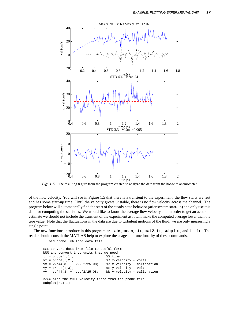

**Fig. 1.5** The resulting figure from the program created to analyze the data from the hot-wire anemometer.

of the flow velocity. You will see in Figure 1.5 that there is a transient to the experiment; the flow starts are rest and has some start-up time. Until the velocity grows unstable, there is no flow velocity across the channel. The program below will automatically find the start of the steady state behavior (after system start-up) and only use this data for computing the statistics. We would like to know the average flow velocity and in order to get an accurate estimate we should not include the transient of the experiment as it will make the computed average lower than the true value. Note that the fluctuations in the data are due to turbulent motions of the fluid, we are only measuring a single point.

The new functions introduce in this program are: abs, mean, std, mat2str, subplot, and title. The reader should consult the MATLAB help to explore the usage and functionality of these commands.

load probe %% load data file

```
%%% convert data from file to useful form
%%% and convert into units that we need
  = probe(:,1);<br>= probe(:,2);<br>\frac{8}{3} x-ve
vx = probe(:,2);<br>%% x-velocity - volts
vx = vx*44.3 + vx.ˆ2/25.08; %% x-velocity - calibration
vy = probe(:,3); % y-velocity - voltsvy = vy*44.3 + vy.^2/25.08; %% y-velocity - calibration
%%% plot the full velocity trace from the probe file
subplot(3,1,1)
```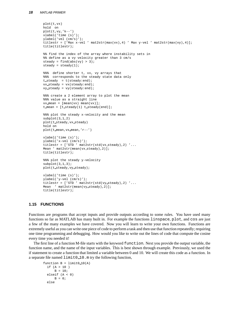```
plot(t,vx)
hold on
plot(t,vy,'k--')xlabel('time (s)');
ylabel('vel (cm/s)');
titlestr = ['Max x-vel' max2str(max(vx), 4)' Max y-vel' max2str(max(vy),4)];
title(titlestr);
%% find the index of the array where instability sets in
%% define as a vy velocity greater than 3 cm/s
steady = find(abs(vy) > 3);steady = steady(1);
%%% define shorter t, vx, vy arrays that
%%% corresponds to the steady state data only
t_steady = t(steady:end);
vx steady = vx(steady:end);
vy\_steady = vy(stateady:end);%%% create a 2 element array to plot the mean
%%% value as a straight line
vx mean = [mean(vx) mean(vx)];
t mean = [t\_steady(1) t\_steady(end)];
%%% plot the steady x-velocity and the mean
subplot(3,1,2)plot(t steady,vx steady)
hold on
plot(t mean,vx mean,'r--')
xlabel('time (s)');
ylabel('x-vel (cm/s)');
titlestr = ['STD' mat2str(std(vx\_steady), 2)'...
Mean ' mat2str(mean(vx_steady), 2)];
title(titlestr);
%%% plot the steady y-velocity
subplot(3,1,3);plot(t steady,vy steady);
xlabel('time (s)');
ylabel('y-vel (cm/s)');
titlestr = ['STD' \text{ mat2str}(\text{std}(vy\_steady), 2) '...]Mean ' mat2str(mean(vy_steady), 2)];
title(titlestr);
```
# **1.15 FUNCTIONS**

Functions are programs that accept inputs and provide outputs according to some rules. You have used many functions so far as MATLAB has many built in. For example the functions linspace, plot, and cos are just a few of the many examples we have covered. Now you will learn to write your own functions. Functions are extremely useful as you can write one piece of code to perform a task and then use that function repeatedly; requiring one time programming and debugging. How would you like to write out the lines of code that compute the cosine every time you needed it!

The first line of a function M-file starts with the keyword function. Next you provide the output variable, the function name, and the name of the input variables. This is best shown through example. Previously, we used the if statement to create a function that limited a variable between 0 and 10. We will create this code as a function. In a separate file named limit0\_10.m try the following function,

```
function B = \text{limit0-10(A)}if (A > 10 )
      B = 10;elseif (A < 0)
     B = 0;else
```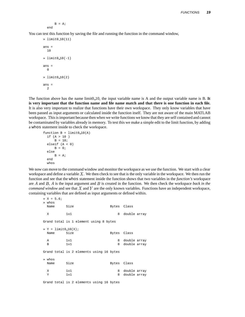$B = A$ ; end

You can test this function by saving the file and running the function in the command window,

```
\frac{1}{2} limit0_10(11)
ans =
  10
\ast limit0-10(-1)ans =
  \Omega» limit0 10(2)
ans =
   \overline{2}
```
The function above has the name limit0 10, the input variable name is A and the output variable name is B. **It** is very important that the function name and file name match and that there is one function in each file. It is also very important to realize that functions have their own workspace. They only know variables that have been passed as input arguments or calculated inside the function itself. They are not aware of the main MATLAB workspace. Thisis important because then when we write functions we know that they are self contained and cannot be contaminated by variables already in memory. To test this we make a simple edit to the limit function, by adding a whos statement inside to check the workspace.

```
function B = \text{limit} 0.10(A)if (A > 10 )
      B = 10;elseif (A < 0)
      B = 0;else
      B = A;
  end
  whos
```
We now can move to the command window and monitor the workspace as we use the function. We start with a clear workspace and define a variable  $X$ . We then check to see that is the only variable in the workspace. We then run the function and see that the whos statement inside the function shows that two variables in the *function's* workspace are  $\vec{A}$  and  $\vec{B}$ ,  $\vec{A}$  is the input argument and  $\vec{B}$  is created in the function. We then check the workspace *back* in the *command window* and see that  $X$  and  $Y$  are the only known variables. Functions have an independent workspace, containing variables that are defined as input arguments or defined within.

```
X = 5.6» whos
 Name Size Bytes Class
 X 1x1 1x1 8 double array
Grand total is 1 element using 8 bytes
* Y = 1imit0_10(X);
 Name Size Bytes Class
 A 1x1 1x1 8 double array<br>B 1x1 8 double array
 B 1x1 8 double array
Grand total is 2 elements using 16 bytes
» whos
 Name Size Bytes Class
 X 1x1 1x1 8 double array
 Y 1x1 8 double array
Grand total is 2 elements using 16 bytes
```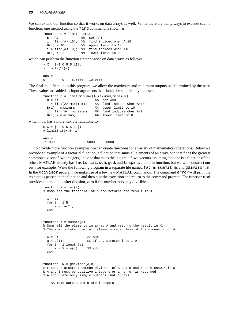We can extend our function so that it works on data arrays as well. While there are many ways to execute such a function, one method using the find command is shown as

```
function B = limit0_10(A)B = A; \text{8} set A=B
 i = find(A > 10); %% find indices wher A>10
 B(i) = 10; % & upper limit to 10
 i = find(A < 0); %% find indices wher A < 0B(i) = 0; %% lower limit to 0
```
which can perform the function element-wise on data arrays as follows.

```
» X = [-2 0 5.5 13];
\ast limit0-10(X)ans =
0 0 5.5000 10.0000
```
The final modification to this program, we allow the maximum and minimum outputs be determined by the user. These values are added as input arguments that should be supplied by the user.

```
function B = limit.min.max(A, maximum, minimum)B = A; 88 set A=Bi = find(A > maximum); %% find indices wher A>10
 B(i) = maximum; %% upper limit to 10
 i = find(A< minimum); \frac{1}{2} find indices wher A<0
 B(i) = minimum; %% lower limit to 0
```
which now has a more flexible functionality.

```
\sqrt{X} = [-2 \ 0 \ 5.5 \ 13];\ast limit0_10(X,6,-1)
ans =
-1.0000 0 5.5000 6.0000
```
To provide more function examples, we can create functionsfor a variety of mathematical operations. Below we provide an example of a factorial function, a function that sums all elements of an array, one that finds the greatest common divisor of two integers, and one that takes the integral of two vectors assuming that one is a function of the other. MATLAB already has factorial, sum, gcd, and trapz as a built in function, but we will construct our own for example. Write the following program in a separate file named fac.m, summit.m, and gdivisor.m. In the gdivisor program we make use of a few new MATLAB commands. The command error will print the text that is passed to the function and then quit the execution and return to the command prompt. The function mod provides the modulus after division, zero if the number is evenly divisible.

```
function X = fac(N)% Computes the factorial of N and returns the result in X
 X = 1;for i = 1:NX = fac*<i>i</i>;end
function X = summit(A)% Sums all the elements in array A and returns the result in X.
% The sum is taken over all elements regardless of the dimension of A.
 X = 0; \frac{2}{3} sum
 a = a(:); <br> \frac{1}{2} \frac{1}{2} \frac{1}{2} stretch into 1-D
 for i = 1: length(a)
     X = X + a(i) %% add up
  end
function N = gdivisor(A, B)% Find the greatest common divisor of A and B and return answer in N.
% A and B must be positive integers or an error is returned.
% A and B are only single numbers, not arrays.
    %% make sure A and B are integers
```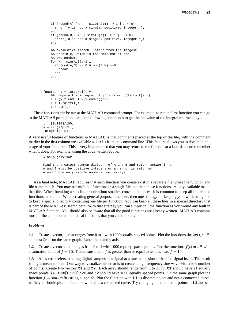```
if (round(A) \leq A | size(A(:)) > 1 | A < 0)
      error('A is not a single, positive, integer!');
   end
   if (round(B) \tilde{-}=B | size(B(:)) > 1 | B < 0)
     error('B is not a single, positive, integer!');
   end
   %% exhaustive search. start from the largest
   %% possible, which is the smallest of the
   %% two numbers
   for N = min(A, B) : -1:1if (mod(A, N) == 0 \& mod(B, N) == 0)break
     end
   end
function I = integral(t,y)%% compute the integral of y(t) from t(1) to t(end)I = (y(2:end) + y(1:end-1))/2;\mathtt{I = I.*diff(t)};I = sum(I);
```
These functions can be run at the MATLAB command prompt. For example, to run the last function you can go to the MATLAB prompt and issue the following commands to get the the value of the integral returned to you.

```
t = [0:100]/100;y = sin(2*pi*t);integral(t,y)
```
A very useful feature of functions in MATLAB is that comments placed at the top of the file, with the comment marker in the first column are available as help from the command line. This feature allows you to document the usage of your functions. This is very important so that you may return to the function at a later date and remember what it does. For example, using the code written above,

```
» help gdivisor
Find the greatest common divisor of A and B and return answer in N.
A and B must be positive integers or an error is returned.
A and B are only single numbers, not arrays.
```
As a final note, MATLAB requires that each function you create exist in a separate file where the function and file name match. You may use multiple functions in a single file, but then those functions are only available inside that file. When breaking a specific problem into smaller, convenient pieces, it is common to keep all the related functions in one file. When creating general purpose functions, then one strategy for keeping your work straight is to keep a special directory containing one file per function. You can keep all these files in a special directory that is part of the MATLAB search path. With that strategy you can simply call the function as you would any built in MATLAB function. You should also be aware that all the good functions are already written. MATLAB contains most of the common mathematical functions that you can think of.

#### *Problems*

**1.1** Create a vector, t, that ranges from 0 to 1 with 1000 equally spaced points. Plot the functions  $sin(2\pi t)$ ,  $e^{-5t}$ , and  $cos(t)e^{-t}$  on the same graph. Label the x and y axis.

**1.2** Create a vector t that ranges from 0 to 1 with 1000 equally spaced points. Plot the functions  $f(t) = e^{5t}$  with  $5t$  with a saturation limit of  $f = 10$ . This means that if f is greater than or equal to ten, then set  $f = 10$ .

**1.3** Alias error refers to taking digital samples of a signal at a rate that is slower than the signal itself. The result is bogus measurement. One way to visualize this error is to create a high frequency sine wave with a low number of points. Create two vectors  $t1$  and  $t2$ . Each array should range from 0 to 1, but  $t1$  should have 21 equally space points (i.e.  $t1=[0:20]/20$  and  $t2$  should have 1000 equally spaced points. On the same graph plot the function  $f = \sin(2\pi 19t)$  using t1 and t2. Plot the function with t1 as discrete points and not a connected curve, while you should plot the function with t2 as a connected curve. Try changing the number of points in  $t_1$  and see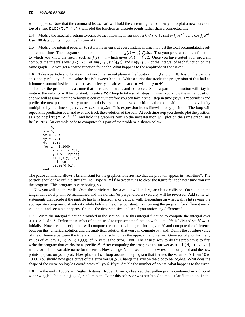what happens. Note that the command hold on will hold the current figure to allow you to plot a new curve on top of it and  $plot(t, f, ', ')$  will plot the function as discrete points rather than a connected line.

**1.4** Modify the integral program to compute the following integrals over  $0 < t < 1$ :  $\sin(2\pi t)$ ,  $e^{-5t}$ , and  $\cos(t)e^{-t}$ . Use 100 data points in your definition of t.

**1.5** Modify the integral program to return the integral at every instant in time, not just the total accumulated result at the final time. The program should compute the function  $g(t) = \int_0^t f(t) dt$ . Test your program using a function to which you know the result, such as  $f(t) = t$  which gives  $g(t) = t^2/2$ . Once you have tested your program compute the integrals over  $0 < t < 1$  of  $sin(2\pi t)$ ,  $sin(4\pi t)$ , and  $sin(8\pi t)$ . Plot the integral of each function on the same graph. Do you get a cosine function for each? What happens to the amplitude of the wave?

**1.6** Take a particle and locate it in a two-dimensional plane at the location  $x = 0$  and  $y = 0$ . Assign the particle an  $x$  and  $y$  velocity of some value that is between 0 and 1. Write a script that tracks the progression of this ball as it bounces around inside a box that has perfectly elastic walls at  $x = \pm 1$  and  $y = \pm 1$ .

To start the problem lets assume that there are no walls and no forces. Since a particle in motion will stay in motion, the velocity will be constant. Create a for loop to take small steps in time. You know the initial position and we will assume that the velocity is constant, therefore you can take a small step in time (say 0.1 "seconds") and predict the new position. All you need to do is say that the new x position is the old position plus the x velocity multiplied by the time step,  $x_{new} = x_{old} + v_x \Delta t$ . This expression holds likewise for y position. The loop will repeat this prediction over and over and track the evolution of the ball. At each time step you should plot the position as a point  $p$ lot(x,y,'.') and hold the graphics "on" so the next iteration will plot on the same graph (use hold on). An example code to computes this part of the problem is shown below:

```
x = 0;y = 0;vx = 0.5;vy = 0.2;
dt = 0.1;for i = 1:1000x = x + vx*dt;y = y + vy*dt;plot(x,y,'.'');
     hold on;
     pause(0.01);
end
```
The pause command allows a brief instant for the graphics to refresh so that the plot will appear in "real-time". The particle should take off in a straight line. Type » clf between runs to clear the figure for each new time you run the program. This program is very boring, so....

Now you will add the walls. Once the particle reaches a wall it will undergo an elastic collision. On collision,the tangential velocity will be maintained and the normal (or perpendicular) velocity will be reversed. Add some if statements that decide if the particle has hit a horizontal or vertical wall. Depending on what wall is hit reverse the appropriate component of velocity while holding the other constant. Try running the program for different initial velocities and see what happens. Change the time step size and see if you notice any difference?

**1.7** Write the integral function provided in the section. Use this integral function to compute the integral over  $0 < t < 1$  of  $e^{-t}$ . Define the number of points used to represent the function with  $t = [0:N]$  /N and set  $N = 10$ initially. Now create a script that will compute the numerical integral for a given  $N$  and compute the difference between the numerical solution and the analytical solution that you can compute by hand. Define the absolute value of the difference between the true and numerical solution as the approximation error. Generate of plot for many values of N (say  $10 < N < 1000$ ), of N versus the error. Hint: The easiest way to do this problem is to first write the program that works for a specific N. After computing the error, plot the answer as  $p$ lot (N,err,'.') where  $err$  is the variable name for the error. Now change N and see that the new result is computed and the new points appears on your plot. Now place a for loop around this program that iterates the value of  $N$  from 10 to 1000. You should now get a curve of the error versus  $N$ . Change the axis on the plot to be log-log. What does the shape of the curve on log-log coordinates tell you? If you double the number of points, what happens to the error.

**1.8** In the early 1800's an English botanist, Robert Brown, observed that pollen grains contained in a drop of water wiggled about in a jagged, random path. Later this behavior was attributed to molecular fluctuations in the